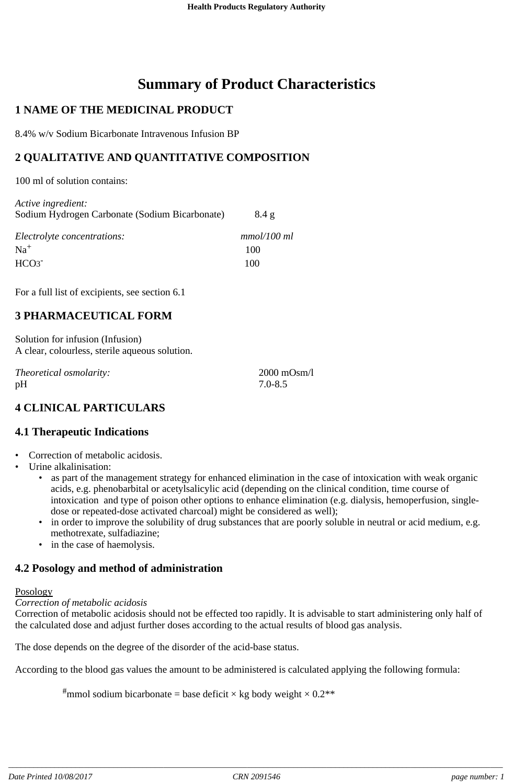# **Summary of Product Characteristics**

# **1 NAME OF THE MEDICINAL PRODUCT**

8.4% w/v Sodium Bicarbonate Intravenous Infusion BP

# **2 QUALITATIVE AND QUANTITATIVE COMPOSITION**

100 ml of solution contains:

*Active ingredient:*

| Active ingreaient:<br>Sodium Hydrogen Carbonate (Sodium Bicarbonate) | 8.4 g       |
|----------------------------------------------------------------------|-------------|
| Electrolyte concentrations:                                          | mmol/100 ml |
| $Na^+$                                                               | 100         |
| $HCO3$ <sup>-</sup>                                                  | 100         |

For a full list of excipients, see section 6.1

### **3 PHARMACEUTICAL FORM**

Solution for infusion (Infusion) A clear, colourless, sterile aqueous solution.

*Theoretical osmolarity:* 2000 mOsm/l pH 7.0-8.5

# **4 CLINICAL PARTICULARS**

### **4.1 Therapeutic Indications**

- Correction of metabolic acidosis.
- Urine alkalinisation:
	- as part of the management strategy for enhanced elimination in the case of intoxication with weak organic acids, e.g. phenobarbital or acetylsalicylic acid (depending on the clinical condition, time course of intoxication and type of poison other options to enhance elimination (e.g. dialysis, hemoperfusion, singledose or repeated-dose activated charcoal) might be considered as well);
	- in order to improve the solubility of drug substances that are poorly soluble in neutral or acid medium, e.g. methotrexate, sulfadiazine;
	- in the case of haemolysis.

# **4.2 Posology and method of administration**

### **Posology**

*Correction of metabolic acidosis*

Correction of metabolic acidosis should not be effected too rapidly. It is advisable to start administering only half of the calculated dose and adjust further doses according to the actual results of blood gas analysis.

The dose depends on the degree of the disorder of the acid-base status.

According to the blood gas values the amount to be administered is calculated applying the following formula:

<sup>#</sup>mmol sodium bicarbonate = base deficit  $\times$  kg body weight  $\times$  0.2<sup>\*\*</sup>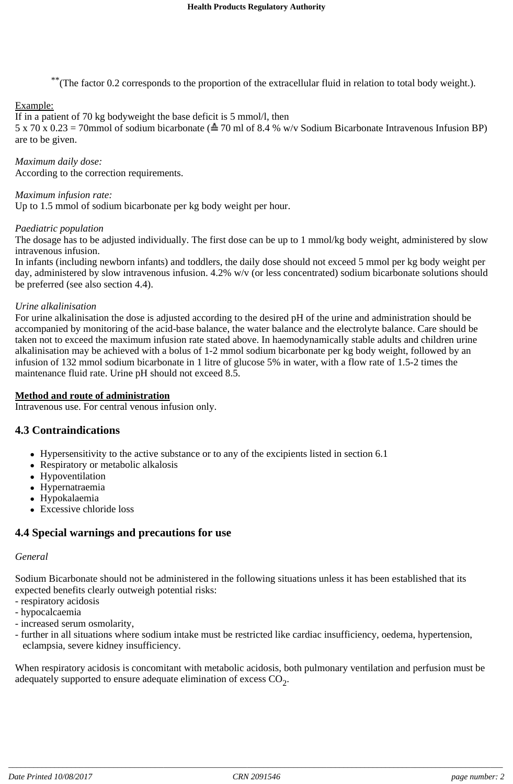\*\*(The factor 0.2 corresponds to the proportion of the extracellular fluid in relation to total body weight.).

### Example:

If in a patient of 70 kg bodyweight the base deficit is 5 mmol/l, then

5 x 70 x 0.23 = 70mmol of sodium bicarbonate ( $\triangle$  70 ml of 8.4 % w/v Sodium Bicarbonate Intravenous Infusion BP) are to be given.

*Maximum daily dose:* According to the correction requirements.

*Maximum infusion rate:*

Up to 1.5 mmol of sodium bicarbonate per kg body weight per hour.

### *Paediatric population*

The dosage has to be adjusted individually. The first dose can be up to 1 mmol/kg body weight, administered by slow intravenous infusion.

In infants (including newborn infants) and toddlers, the daily dose should not exceed 5 mmol per kg body weight per day, administered by slow intravenous infusion. 4.2% w/v (or less concentrated) sodium bicarbonate solutions should be preferred (see also section 4.4).

#### *Urine alkalinisation*

For urine alkalinisation the dose is adjusted according to the desired pH of the urine and administration should be accompanied by monitoring of the acid-base balance, the water balance and the electrolyte balance. Care should be taken not to exceed the maximum infusion rate stated above. In haemodynamically stable adults and children urine alkalinisation may be achieved with a bolus of 1-2 mmol sodium bicarbonate per kg body weight, followed by an infusion of 132 mmol sodium bicarbonate in 1 litre of glucose 5% in water, with a flow rate of 1.5-2 times the maintenance fluid rate. Urine pH should not exceed 8.5.

### **Method and route of administration**

Intravenous use. For central venous infusion only.

### **4.3 Contraindications**

- Hypersensitivity to the active substance or to any of the excipients listed in section 6.1
- Respiratory or metabolic alkalosis
- Hypoventilation
- Hypernatraemia
- Hypokalaemia
- Excessive chloride loss

### **4.4 Special warnings and precautions for use**

### *General*

Sodium Bicarbonate should not be administered in the following situations unless it has been established that its expected benefits clearly outweigh potential risks:

- respiratory acidosis
- hypocalcaemia
- increased serum osmolarity,
- further in all situations where sodium intake must be restricted like cardiac insufficiency, oedema, hypertension, eclampsia, severe kidney insufficiency.

When respiratory acidosis is concomitant with metabolic acidosis, both pulmonary ventilation and perfusion must be adequately supported to ensure adequate elimination of excess  $CO<sub>2</sub>$ .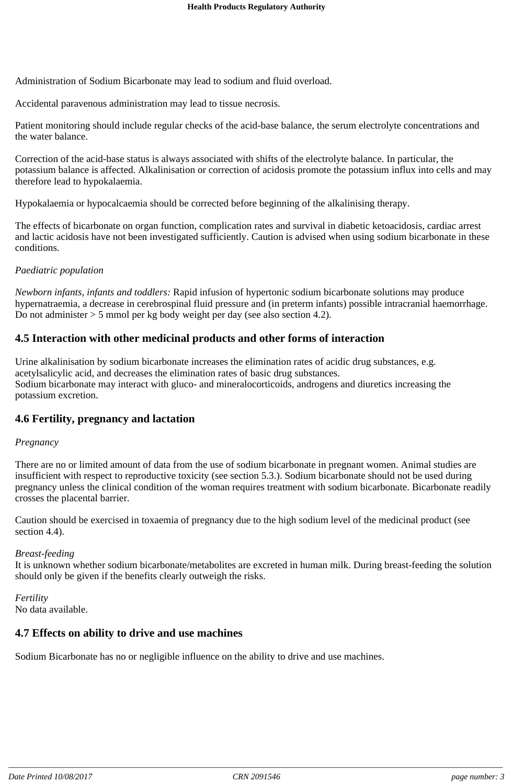Administration of Sodium Bicarbonate may lead to sodium and fluid overload.

Accidental paravenous administration may lead to tissue necrosis.

Patient monitoring should include regular checks of the acid-base balance, the serum electrolyte concentrations and the water balance.

Correction of the acid-base status is always associated with shifts of the electrolyte balance. In particular, the potassium balance is affected. Alkalinisation or correction of acidosis promote the potassium influx into cells and may therefore lead to hypokalaemia.

Hypokalaemia or hypocalcaemia should be corrected before beginning of the alkalinising therapy.

The effects of bicarbonate on organ function, complication rates and survival in diabetic ketoacidosis, cardiac arrest and lactic acidosis have not been investigated sufficiently. Caution is advised when using sodium bicarbonate in these conditions.

### *Paediatric population*

*Newborn infants, infants and toddlers:* Rapid infusion of hypertonic sodium bicarbonate solutions may produce hypernatraemia, a decrease in cerebrospinal fluid pressure and (in preterm infants) possible intracranial haemorrhage. Do not administer  $> 5$  mmol per kg body weight per day (see also section 4.2).

### **4.5 Interaction with other medicinal products and other forms of interaction**

Urine alkalinisation by sodium bicarbonate increases the elimination rates of acidic drug substances, e.g. acetylsalicylic acid, and decreases the elimination rates of basic drug substances. Sodium bicarbonate may interact with gluco- and mineralocorticoids, androgens and diuretics increasing the potassium excretion.

### **4.6 Fertility, pregnancy and lactation**

### *Pregnancy*

There are no or limited amount of data from the use of sodium bicarbonate in pregnant women. Animal studies are insufficient with respect to reproductive toxicity (see section 5.3.). Sodium bicarbonate should not be used during pregnancy unless the clinical condition of the woman requires treatment with sodium bicarbonate. Bicarbonate readily crosses the placental barrier.

Caution should be exercised in toxaemia of pregnancy due to the high sodium level of the medicinal product (see section 4.4).

### *Breast-feeding*

It is unknown whether sodium bicarbonate/metabolites are excreted in human milk. During breast-feeding the solution should only be given if the benefits clearly outweigh the risks.

*Fertility* No data available.

### **4.7 Effects on ability to drive and use machines**

Sodium Bicarbonate has no or negligible influence on the ability to drive and use machines.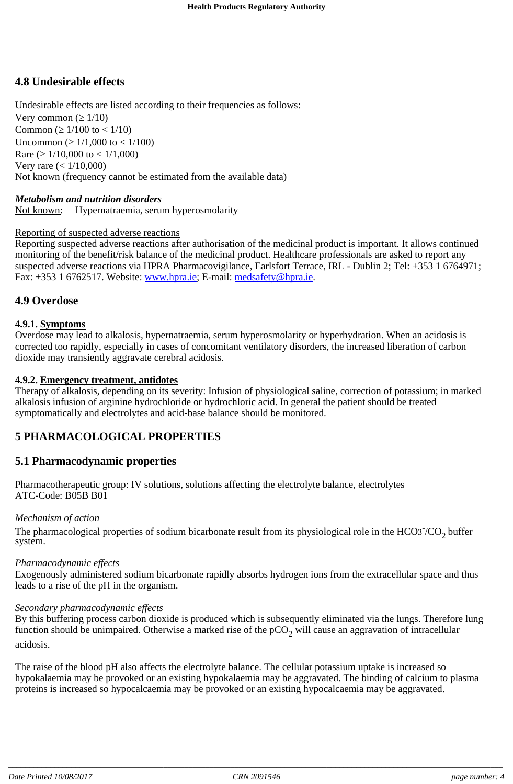# **4.8 Undesirable effects**

Undesirable effects are listed according to their frequencies as follows: Very common ( $\geq 1/10$ ) Common ( $\geq 1/100$  to  $< 1/10$ ) Uncommon ( $\geq 1/1,000$  to  $\lt 1/100$ ) Rare ( $\geq 1/10,000$  to < 1/1,000) Very rare (< 1/10,000) Not known (frequency cannot be estimated from the available data)

### *Metabolism and nutrition disorders*

Not known: Hypernatraemia, serum hyperosmolarity

### Reporting of suspected adverse reactions

Reporting suspected adverse reactions after authorisation of the medicinal product is important. It allows continued monitoring of the benefit/risk balance of the medicinal product. Healthcare professionals are asked to report any suspected adverse reactions via HPRA Pharmacovigilance, Earlsfort Terrace, IRL - Dublin 2; Tel: +353 1 6764971; Fax: +353 1 6762517. Website: www.hpra.ie; E-mail: medsafety@hpra.ie.

### **4.9 Overdose**

### **4.9.1. Symptoms**

Overdose may lead to alkalosis, hypernatraemia, serum hyperosmolarity or hyperhydration. When an acidosis is corrected too rapidly, especially in cases of concomitant ventilatory disorders, the increased liberation of carbon dioxide may transiently aggravate cerebral acidosis.

### **4.9.2. Emergency treatment, antidotes**

Therapy of alkalosis, depending on its severity: Infusion of physiological saline, correction of potassium; in marked alkalosis infusion of arginine hydrochloride or hydrochloric acid. In general the patient should be treated symptomatically and electrolytes and acid-base balance should be monitored.

# **5 PHARMACOLOGICAL PROPERTIES**

# **5.1 Pharmacodynamic properties**

Pharmacotherapeutic group: IV solutions, solutions affecting the electrolyte balance, electrolytes ATC-Code: B05B B01

### *Mechanism of action*

The pharmacological properties of sodium bicarbonate result from its physiological role in the  $HCO3^-/CO_2$  buffer system.

### *Pharmacodynamic effects*

Exogenously administered sodium bicarbonate rapidly absorbs hydrogen ions from the extracellular space and thus leads to a rise of the pH in the organism.

### *Secondary pharmacodynamic effects*

By this buffering process carbon dioxide is produced which is subsequently eliminated via the lungs. Therefore lung function should be unimpaired. Otherwise a marked rise of the  $pCO<sub>2</sub>$  will cause an aggravation of intracellular acidosis.

The raise of the blood pH also affects the electrolyte balance. The cellular potassium uptake is increased so hypokalaemia may be provoked or an existing hypokalaemia may be aggravated. The binding of calcium to plasma proteins is increased so hypocalcaemia may be provoked or an existing hypocalcaemia may be aggravated.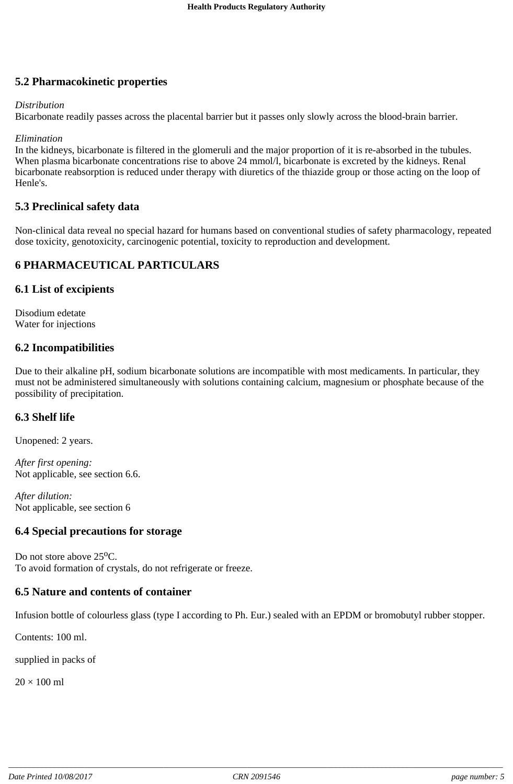# **5.2 Pharmacokinetic properties**

### *Distribution*

Bicarbonate readily passes across the placental barrier but it passes only slowly across the blood-brain barrier.

### *Elimination*

In the kidneys, bicarbonate is filtered in the glomeruli and the major proportion of it is re-absorbed in the tubules. When plasma bicarbonate concentrations rise to above 24 mmol/l, bicarbonate is excreted by the kidneys. Renal bicarbonate reabsorption is reduced under therapy with diuretics of the thiazide group or those acting on the loop of Henle's.

### **5.3 Preclinical safety data**

Non-clinical data reveal no special hazard for humans based on conventional studies of safety pharmacology, repeated dose toxicity, genotoxicity, carcinogenic potential, toxicity to reproduction and development.

# **6 PHARMACEUTICAL PARTICULARS**

### **6.1 List of excipients**

Disodium edetate Water for injections

### **6.2 Incompatibilities**

Due to their alkaline pH, sodium bicarbonate solutions are incompatible with most medicaments. In particular, they must not be administered simultaneously with solutions containing calcium, magnesium or phosphate because of the possibility of precipitation.

# **6.3 Shelf life**

Unopened: 2 years.

*After first opening:* Not applicable, see section 6.6.

*After dilution:* Not applicable, see section 6

# **6.4 Special precautions for storage**

Do not store above  $25^{\circ}$ C. To avoid formation of crystals, do not refrigerate or freeze.

# **6.5 Nature and contents of container**

Infusion bottle of colourless glass (type I according to Ph. Eur.) sealed with an EPDM or bromobutyl rubber stopper.

Contents: 100 ml.

supplied in packs of

 $20 \times 100$  ml